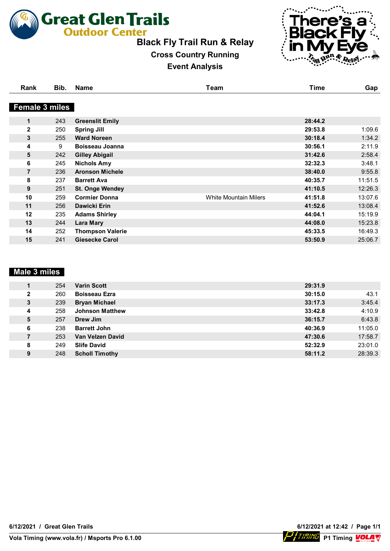

# **Black Fly Trail Run & Relay**

# **Cross Country Running**

#### **Event Analysis**



**Vola** 

| Rank                  | Bib. | <b>Name</b>             | Team                         | <b>Time</b> | Gap     |
|-----------------------|------|-------------------------|------------------------------|-------------|---------|
|                       |      |                         |                              |             |         |
| <b>Female 3 miles</b> |      |                         |                              |             |         |
| $\mathbf 1$           | 243  | <b>Greenslit Emily</b>  |                              | 28:44.2     |         |
| $\mathbf{2}$          | 250  | <b>Spring Jill</b>      |                              | 29:53.8     | 1:09.6  |
| 3                     | 255  | <b>Ward Noreen</b>      |                              | 30:18.4     | 1:34.2  |
| 4                     | 9    | Boisseau Joanna         |                              | 30:56.1     | 2:11.9  |
| 5                     | 242  | <b>Gilley Abigail</b>   |                              | 31:42.6     | 2:58.4  |
| 6                     | 245  | <b>Nichols Amy</b>      |                              | 32:32.3     | 3:48.1  |
| $\overline{7}$        | 236  | <b>Aronson Michele</b>  |                              | 38:40.0     | 9:55.8  |
| 8                     | 237  | <b>Barrett Ava</b>      |                              | 40:35.7     | 11:51.5 |
| 9                     | 251  | <b>St. Onge Wendey</b>  |                              | 41:10.5     | 12:26.3 |
| 10                    | 259  | <b>Cormier Donna</b>    | <b>White Mountain Milers</b> | 41:51.8     | 13:07.6 |
| 11                    | 256  | Dawicki Erin            |                              | 41:52.6     | 13:08.4 |
| 12                    | 235  | <b>Adams Shirley</b>    |                              | 44:04.1     | 15:19.9 |
| 13                    | 244  | <b>Lara Mary</b>        |                              | 44:08.0     | 15:23.8 |
| 14                    | 252  | <b>Thompson Valerie</b> |                              | 45:33.5     | 16:49.3 |
| 15                    | 241  | <b>Giesecke Carol</b>   |                              | 53:50.9     | 25:06.7 |

#### **Male 3 miles**

|              | 254 | <b>Varin Scott</b>     | 29:31.9 |         |
|--------------|-----|------------------------|---------|---------|
| $\mathbf{2}$ | 260 | <b>Boisseau Ezra</b>   | 30:15.0 | 43.1    |
| 3            | 239 | <b>Bryan Michael</b>   | 33:17.3 | 3:45.4  |
| 4            | 258 | <b>Johnson Matthew</b> | 33:42.8 | 4:10.9  |
| 5            | 257 | Drew Jim               | 36:15.7 | 6:43.8  |
| 6            | 238 | <b>Barrett John</b>    | 40:36.9 | 11:05.0 |
| 7            | 253 | Van Velzen David       | 47:30.6 | 17:58.7 |
| 8            | 249 | <b>Slife David</b>     | 52:32.9 | 23:01.0 |
| 9            | 248 | <b>Scholl Timothy</b>  | 58:11.2 | 28:39.3 |

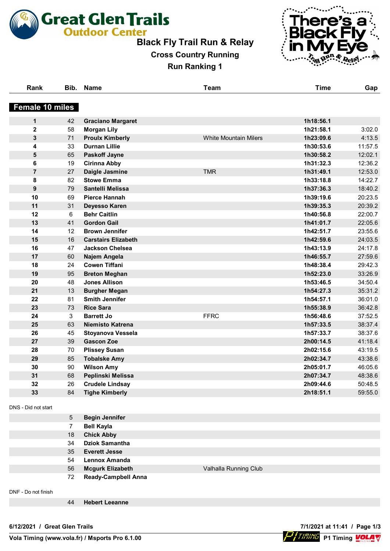

# **Black Fly Trail Run & Relay**

**Cross Country Running Run Ranking 1**



| Rank                   | Bib. | <b>Name</b>                | <b>Team</b>                  | <b>Time</b> | Gap     |
|------------------------|------|----------------------------|------------------------------|-------------|---------|
| <b>Female 10 miles</b> |      |                            |                              |             |         |
| $\mathbf{1}$           | 42   | <b>Graciano Margaret</b>   |                              | 1h18:56.1   |         |
| $\overline{2}$         | 58   | <b>Morgan Lily</b>         |                              | 1h21:58.1   | 3:02.0  |
| 3                      | 71   | <b>Proulx Kimberly</b>     | <b>White Mountain Milers</b> | 1h23:09.6   | 4:13.5  |
| 4                      | 33   | <b>Durnan Lillie</b>       |                              | 1h30:53.6   | 11:57.5 |
| 5                      | 65   | <b>Paskoff Jayne</b>       |                              | 1h30:58.2   | 12:02.1 |
| 6                      | 19   | <b>Cirinna Abby</b>        |                              | 1h31:32.3   | 12:36.2 |
| $\overline{7}$         | 27   | Daigle Jasmine             | <b>TMR</b>                   | 1h31:49.1   | 12:53.0 |
| 8                      | 82   | <b>Stowe Emma</b>          |                              | 1h33:18.8   | 14:22.7 |
| 9                      | 79   | Santelli Melissa           |                              | 1h37:36.3   | 18:40.2 |
| 10                     | 69   | <b>Pierce Hannah</b>       |                              | 1h39:19.6   | 20:23.5 |
| 11                     | 31   | Deyesso Karen              |                              | 1h39:35.3   | 20:39.2 |
| 12                     | 6    | <b>Behr Caitlin</b>        |                              | 1h40:56.8   | 22:00.7 |
| 13                     | 41   | <b>Gordon Gail</b>         |                              | 1h41:01.7   | 22:05.6 |
| 14                     | 12   | <b>Brown Jennifer</b>      |                              | 1h42:51.7   | 23:55.6 |
| 15                     | 16   | <b>Carstairs Elizabeth</b> |                              | 1h42:59.6   | 24:03.5 |
| 16                     | 47   | <b>Jackson Chelsea</b>     |                              | 1h43:13.9   | 24:17.8 |
| 17                     | 60   | Najem Angela               |                              | 1h46:55.7   | 27:59.6 |
| 18                     | 24   | <b>Cowen Tiffani</b>       |                              | 1h48:38.4   | 29:42.3 |
| 19                     | 95   | <b>Breton Meghan</b>       |                              | 1h52:23.0   | 33:26.9 |
| 20                     | 48   | <b>Jones Allison</b>       |                              | 1h53:46.5   | 34:50.4 |
| 21                     | 13   | <b>Burgher Megan</b>       |                              | 1h54:27.3   | 35:31.2 |
| 22                     | 81   | <b>Smith Jennifer</b>      |                              | 1h54:57.1   | 36:01.0 |
| 23                     | 73   | <b>Rice Sara</b>           |                              | 1h55:38.9   | 36:42.8 |
| 24                     | 3    | <b>Barrett Jo</b>          | <b>FFRC</b>                  | 1h56:48.6   | 37:52.5 |
| 25                     | 63   | Niemisto Katrena           |                              | 1h57:33.5   | 38:37.4 |
| 26                     | 45   | Stoyanova Vessela          |                              | 1h57:33.7   | 38:37.6 |
| 27                     | 39   | <b>Gascon Zoe</b>          |                              | 2h00:14.5   | 41:18.4 |
| 28                     | 70   | <b>Plissey Susan</b>       |                              | 2h02:15.6   | 43:19.5 |
| 29                     | 85   | <b>Tobalske Amy</b>        |                              | 2h02:34.7   | 43:38.6 |
| 30                     | 90   | <b>Wilson Amy</b>          |                              | 2h05:01.7   | 46:05.6 |
| 31                     | 68   | Peplinski Melissa          |                              | 2h07:34.7   | 48:38.6 |
| 32                     | 26   | <b>Crudele Lindsay</b>     |                              | 2h09:44.6   | 50:48.5 |
| 33                     | 84   | <b>Tighe Kimberly</b>      |                              | 2h18:51.1   | 59:55.0 |

DNS - Did not start

| 5  | <b>Begin Jennifer</b>      |                       |
|----|----------------------------|-----------------------|
|    | <b>Bell Kayla</b>          |                       |
| 18 | <b>Chick Abby</b>          |                       |
| 34 | <b>Dziok Samantha</b>      |                       |
| 35 | <b>Everett Jesse</b>       |                       |
| 54 | <b>Lennox Amanda</b>       |                       |
| 56 | <b>Mcgurk Elizabeth</b>    | Valhalla Running Club |
| 72 | <b>Ready-Campbell Anna</b> |                       |
|    |                            |                       |

DNF - Do not finish

**Hebert Leeanne**

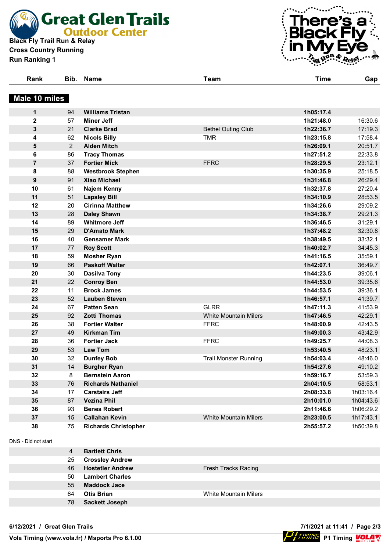**Black Fly Trail Run & Relay**<br>Black Fly Trail Run & Relay **Cross Country Running**

**Run Ranking 1**



| . | Bib. | <b>Name</b> | Team | .<br><u>i ime</u> |  |
|---|------|-------------|------|-------------------|--|
|   |      |             |      |                   |  |

### **Male 10 miles**

| $\mathbf 1$             | 94             | <b>Williams Tristan</b>     |                              | 1h05:17.4 |           |
|-------------------------|----------------|-----------------------------|------------------------------|-----------|-----------|
| $\mathbf 2$             | 57             | <b>Miner Jeff</b>           |                              | 1h21:48.0 | 16:30.6   |
| 3                       | 21             | <b>Clarke Brad</b>          | <b>Bethel Outing Club</b>    | 1h22:36.7 | 17:19.3   |
| 4                       | 62             | <b>Nicols Billy</b>         | <b>TMR</b>                   | 1h23:15.8 | 17:58.4   |
| $\overline{\mathbf{5}}$ | $\overline{2}$ | <b>Alden Mitch</b>          |                              | 1h26:09.1 | 20:51.7   |
| 6                       | 86             | <b>Tracy Thomas</b>         |                              | 1h27:51.2 | 22:33.8   |
| $\overline{7}$          | 37             | <b>Fortier Mick</b>         | <b>FFRC</b>                  | 1h28:29.5 | 23:12.1   |
| 8                       | 88             | <b>Westbrook Stephen</b>    |                              | 1h30:35.9 | 25:18.5   |
| $\boldsymbol{9}$        | 91             | Xiao Michael                |                              | 1h31:46.8 | 26:29.4   |
| 10                      | 61             | Najem Kenny                 |                              | 1h32:37.8 | 27:20.4   |
| 11                      | 51             | <b>Lapsley Bill</b>         |                              | 1h34:10.9 | 28:53.5   |
| 12                      | 20             | <b>Cirinna Matthew</b>      |                              | 1h34:26.6 | 29:09.2   |
| 13                      | 28             | <b>Daley Shawn</b>          |                              | 1h34:38.7 | 29:21.3   |
| 14                      | 89             | <b>Whitmore Jeff</b>        |                              | 1h36:46.5 | 31:29.1   |
| 15                      | 29             | <b>D'Amato Mark</b>         |                              | 1h37:48.2 | 32:30.8   |
| 16                      | 40             | <b>Gensamer Mark</b>        |                              | 1h38:49.5 | 33:32.1   |
| 17                      | 77             | <b>Roy Scott</b>            |                              | 1h40:02.7 | 34:45.3   |
| 18                      | 59             | <b>Mosher Ryan</b>          |                              | 1h41:16.5 | 35:59.1   |
| 19                      | 66             | <b>Paskoff Walter</b>       |                              | 1h42:07.1 | 36:49.7   |
| 20                      | 30             | <b>Dasilva Tony</b>         |                              | 1h44:23.5 | 39:06.1   |
| 21                      | 22             | <b>Conroy Ben</b>           |                              | 1h44:53.0 | 39:35.6   |
| 22                      | 11             | <b>Brock James</b>          |                              | 1h44:53.5 | 39:36.1   |
| 23                      | 52             | <b>Lauben Steven</b>        |                              | 1h46:57.1 | 41:39.7   |
| 24                      | 67             | <b>Patten Sean</b>          | <b>GLRR</b>                  | 1h47:11.3 | 41:53.9   |
| 25                      | 92             | <b>Zotti Thomas</b>         | <b>White Mountain Milers</b> | 1h47:46.5 | 42:29.1   |
| 26                      | 38             | <b>Fortier Walter</b>       | <b>FFRC</b>                  | 1h48:00.9 | 42:43.5   |
| 27                      | 49             | <b>Kirkman Tim</b>          |                              | 1h49:00.3 | 43:42.9   |
| 28                      | 36             | <b>Fortier Jack</b>         | <b>FFRC</b>                  | 1h49:25.7 | 44:08.3   |
| 29                      | 53             | <b>Law Tom</b>              |                              | 1h53:40.5 | 48:23.1   |
| 30                      | 32             | <b>Dunfey Bob</b>           | <b>Trail Monster Running</b> | 1h54:03.4 | 48:46.0   |
| 31                      | 14             | <b>Burgher Ryan</b>         |                              | 1h54:27.6 | 49:10.2   |
| 32                      | 8              | <b>Bernstein Aaron</b>      |                              | 1h59:16.7 | 53:59.3   |
| 33                      | 76             | <b>Richards Nathaniel</b>   |                              | 2h04:10.5 | 58:53.1   |
| 34                      | 17             | <b>Carstairs Jeff</b>       |                              | 2h08:33.8 | 1h03:16.4 |
| 35                      | 87             | <b>Vezina Phil</b>          |                              | 2h10:01.0 | 1h04:43.6 |
| 36                      | 93             | <b>Benes Robert</b>         |                              | 2h11:46.6 | 1h06:29.2 |
| 37                      | 15             | <b>Callahan Kevin</b>       | <b>White Mountain Milers</b> | 2h23:00.5 | 1h17:43.1 |
| 38                      | 75             | <b>Richards Christopher</b> |                              | 2h55:57.2 | 1h50:39.8 |

DNS - Did not start

| 4  | <b>Bartlett Chris</b>   |                              |
|----|-------------------------|------------------------------|
| 25 | <b>Crossley Andrew</b>  |                              |
| 46 | <b>Hostetler Andrew</b> | Fresh Tracks Racing          |
| 50 | <b>Lambert Charles</b>  |                              |
| 55 | <b>Maddock Jace</b>     |                              |
| 64 | <b>Otis Brian</b>       | <b>White Mountain Milers</b> |
| 78 | <b>Sackett Joseph</b>   |                              |

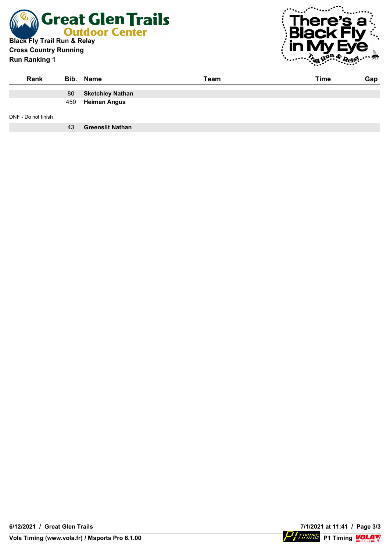

#### **Cross Country Running Run Ranking 1**



| Rank                |     | Bib. Name               | Team | Time | Gap |
|---------------------|-----|-------------------------|------|------|-----|
|                     | 80  | <b>Sketchley Nathan</b> |      |      |     |
|                     | 450 | <b>Heiman Angus</b>     |      |      |     |
| DNF - Do not finish |     |                         |      |      |     |
|                     | 43  | <b>Greenslit Nathan</b> |      |      |     |